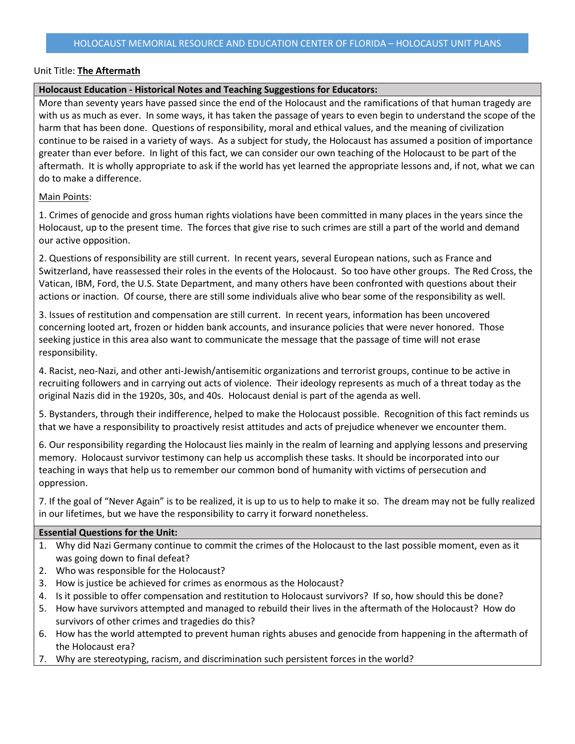#### **Holocaust Education - Historical Notes and Teaching Suggestions for Educators:**

More than seventy years have passed since the end of the Holocaust and the ramifications of that human tragedy are with us as much as ever. In some ways, it has taken the passage of years to even begin to understand the scope of the harm that has been done. Questions of responsibility, moral and ethical values, and the meaning of civilization continue to be raised in a variety of ways. As a subject for study, the Holocaust has assumed a position of importance greater than ever before. In light of this fact, we can consider our own teaching of the Holocaust to be part of the aftermath. It is wholly appropriate to ask if the world has yet learned the appropriate lessons and, if not, what we can do to make a difference.

### Main Points:

1. Crimes of genocide and gross human rights violations have been committed in many places in the years since the Holocaust, up to the present time. The forces that give rise to such crimes are still a part of the world and demand our active opposition.

2. Questions of responsibility are still current. In recent years, several European nations, such as France and Switzerland, have reassessed their roles in the events of the Holocaust. So too have other groups. The Red Cross, the Vatican, IBM, Ford, the U.S. State Department, and many others have been confronted with questions about their actions or inaction. Of course, there are still some individuals alive who bear some of the responsibility as well.

3. Issues of restitution and compensation are still current. In recent years, information has been uncovered concerning looted art, frozen or hidden bank accounts, and insurance policies that were never honored. Those seeking justice in this area also want to communicate the message that the passage of time will not erase responsibility.

4. Racist, neo-Nazi, and other anti-Jewish/antisemitic organizations and terrorist groups, continue to be active in recruiting followers and in carrying out acts of violence. Their ideology represents as much of a threat today as the original Nazis did in the 1920s, 30s, and 40s. Holocaust denial is part of the agenda as well.

5. Bystanders, through their indifference, helped to make the Holocaust possible. Recognition of this fact reminds us that we have a responsibility to proactively resist attitudes and acts of prejudice whenever we encounter them.

6. Our responsibility regarding the Holocaust lies mainly in the realm of learning and applying lessons and preserving memory. Holocaust survivor testimony can help us accomplish these tasks. It should be incorporated into our teaching in ways that help us to remember our common bond of humanity with victims of persecution and oppression.

7. If the goal of "Never Again" is to be realized, it is up to us to help to make it so. The dream may not be fully realized in our lifetimes, but we have the responsibility to carry it forward nonetheless.

#### **Essential Questions for the Unit:**

- 1. Why did Nazi Germany continue to commit the crimes of the Holocaust to the last possible moment, even as it was going down to final defeat?
- 2. Who was responsible for the Holocaust?
- 3. How is justice be achieved for crimes as enormous as the Holocaust?
- 4. Is it possible to offer compensation and restitution to Holocaust survivors? If so, how should this be done?
- 5. How have survivors attempted and managed to rebuild their lives in the aftermath of the Holocaust? How do survivors of other crimes and tragedies do this?
- 6. How has the world attempted to prevent human rights abuses and genocide from happening in the aftermath of the Holocaust era?
- 7. Why are stereotyping, racism, and discrimination such persistent forces in the world?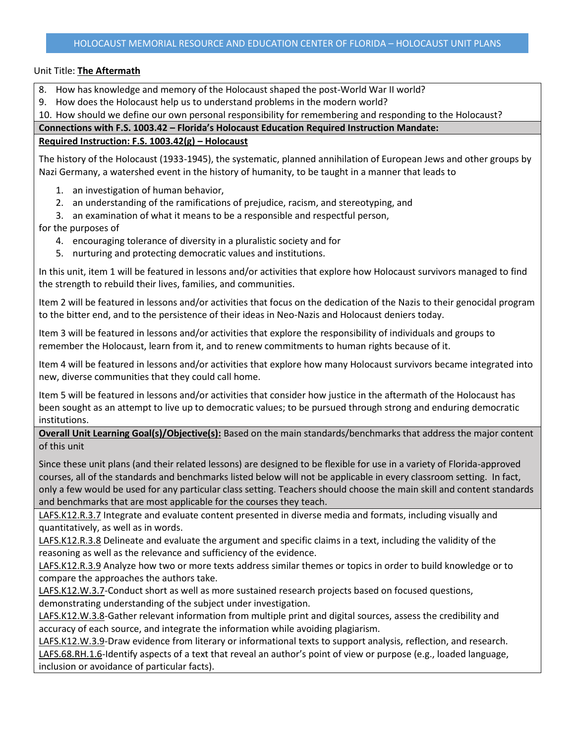- 8. How has knowledge and memory of the Holocaust shaped the post-World War II world?
- 9. How does the Holocaust help us to understand problems in the modern world?

10. How should we define our own personal responsibility for remembering and responding to the Holocaust?

### **Connections with F.S. 1003.42 – Florida's Holocaust Education Required Instruction Mandate:**

## **Required Instruction: F.S. 1003.42(g) – Holocaust**

The history of the Holocaust (1933-1945), the systematic, planned annihilation of European Jews and other groups by Nazi Germany, a watershed event in the history of humanity, to be taught in a manner that leads to

- 1. an investigation of human behavior,
- 2. an understanding of the ramifications of prejudice, racism, and stereotyping, and
- 3. an examination of what it means to be a responsible and respectful person,
- for the purposes of
	- 4. encouraging tolerance of diversity in a pluralistic society and for
	- 5. nurturing and protecting democratic values and institutions.

In this unit, item 1 will be featured in lessons and/or activities that explore how Holocaust survivors managed to find the strength to rebuild their lives, families, and communities.

Item 2 will be featured in lessons and/or activities that focus on the dedication of the Nazis to their genocidal program to the bitter end, and to the persistence of their ideas in Neo-Nazis and Holocaust deniers today.

Item 3 will be featured in lessons and/or activities that explore the responsibility of individuals and groups to remember the Holocaust, learn from it, and to renew commitments to human rights because of it.

Item 4 will be featured in lessons and/or activities that explore how many Holocaust survivors became integrated into new, diverse communities that they could call home.

Item 5 will be featured in lessons and/or activities that consider how justice in the aftermath of the Holocaust has been sought as an attempt to live up to democratic values; to be pursued through strong and enduring democratic institutions.

**Overall Unit Learning Goal(s)/Objective(s):** Based on the main standards/benchmarks that address the major content of this unit

Since these unit plans (and their related lessons) are designed to be flexible for use in a variety of Florida-approved courses, all of the standards and benchmarks listed below will not be applicable in every classroom setting. In fact, only a few would be used for any particular class setting. Teachers should choose the main skill and content standards and benchmarks that are most applicable for the courses they teach.

LAFS.K12.R.3.7 Integrate and evaluate content presented in diverse media and formats, including visually and quantitatively, as well as in words.

LAFS.K12.R.3.8 Delineate and evaluate the argument and specific claims in a text, including the validity of the reasoning as well as the relevance and sufficiency of the evidence.

LAFS.K12.R.3.9 Analyze how two or more texts address similar themes or topics in order to build knowledge or to compare the approaches the authors take.

LAFS.K12.W.3.7-Conduct short as well as more sustained research projects based on focused questions, demonstrating understanding of the subject under investigation.

LAFS.K12.W.3.8-Gather relevant information from multiple print and digital sources, assess the credibility and accuracy of each source, and integrate the information while avoiding plagiarism.

LAFS.K12.W.3.9-Draw evidence from literary or informational texts to support analysis, reflection, and research. LAFS.68.RH.1.6-Identify aspects of a text that reveal an author's point of view or purpose (e.g., loaded language, inclusion or avoidance of particular facts).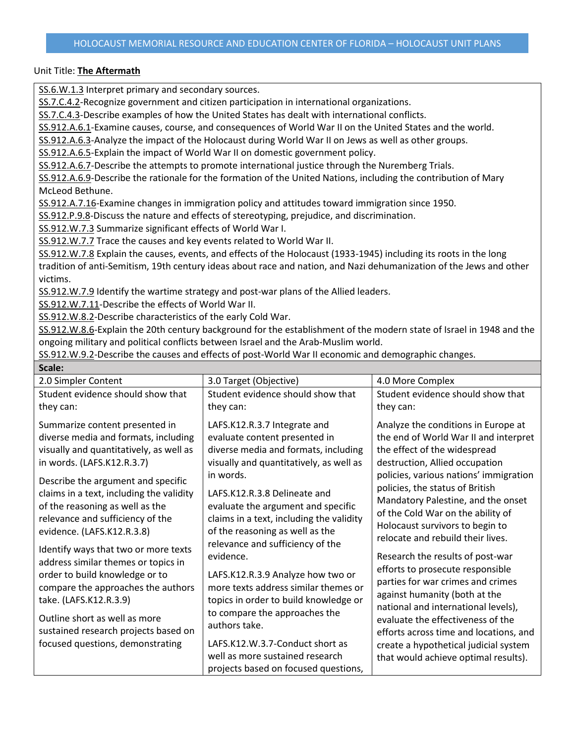SS.6.W.1.3 Interpret primary and secondary sources.

SS.7.C.4.2-Recognize government and citizen participation in international organizations.

SS.7.C.4.3-Describe examples of how the United States has dealt with international conflicts.

SS.912.A.6.1-Examine causes, course, and consequences of World War II on the United States and the world.

SS.912.A.6.3-Analyze the impact of the Holocaust during World War II on Jews as well as other groups.

SS.912.A.6.5-Explain the impact of World War II on domestic government policy.

SS.912.A.6.7-Describe the attempts to promote international justice through the Nuremberg Trials.

SS.912.A.6.9-Describe the rationale for the formation of the United Nations, including the contribution of Mary McLeod Bethune.

SS.912.A.7.16-Examine changes in immigration policy and attitudes toward immigration since 1950.

SS.912.P.9.8-Discuss the nature and effects of stereotyping, prejudice, and discrimination.

SS.912.W.7.3 Summarize significant effects of World War I.

SS.912.W.7.7 Trace the causes and key events related to World War II.

SS.912.W.7.8 Explain the causes, events, and effects of the Holocaust (1933-1945) including its roots in the long tradition of anti-Semitism, 19th century ideas about race and nation, and Nazi dehumanization of the Jews and other victims.

SS.912.W.7.9 Identify the wartime strategy and post-war plans of the Allied leaders.

SS.912.W.7.11-Describe the effects of World War II.

SS.912.W.8.2-Describe characteristics of the early Cold War.

SS.912.W.8.6-Explain the 20th century background for the establishment of the modern state of Israel in 1948 and the ongoing military and political conflicts between Israel and the Arab-Muslim world.

SS.912.W.9.2-Describe the causes and effects of post-World War II economic and demographic changes.

| Scale:                                                                                                                                                                                                                                                                                                                                                                                                                                                                                                                                                                                           |                                                                                                                                                                                                                                                                                                                                                                                                                                                                                                                                             |                                                                                                                                                                                                                                                                                                                                                                                                                                                                                                                                                                                                                                                    |
|--------------------------------------------------------------------------------------------------------------------------------------------------------------------------------------------------------------------------------------------------------------------------------------------------------------------------------------------------------------------------------------------------------------------------------------------------------------------------------------------------------------------------------------------------------------------------------------------------|---------------------------------------------------------------------------------------------------------------------------------------------------------------------------------------------------------------------------------------------------------------------------------------------------------------------------------------------------------------------------------------------------------------------------------------------------------------------------------------------------------------------------------------------|----------------------------------------------------------------------------------------------------------------------------------------------------------------------------------------------------------------------------------------------------------------------------------------------------------------------------------------------------------------------------------------------------------------------------------------------------------------------------------------------------------------------------------------------------------------------------------------------------------------------------------------------------|
| 2.0 Simpler Content                                                                                                                                                                                                                                                                                                                                                                                                                                                                                                                                                                              | 3.0 Target (Objective)                                                                                                                                                                                                                                                                                                                                                                                                                                                                                                                      | 4.0 More Complex                                                                                                                                                                                                                                                                                                                                                                                                                                                                                                                                                                                                                                   |
| Student evidence should show that<br>they can:                                                                                                                                                                                                                                                                                                                                                                                                                                                                                                                                                   | Student evidence should show that<br>they can:                                                                                                                                                                                                                                                                                                                                                                                                                                                                                              | Student evidence should show that<br>they can:                                                                                                                                                                                                                                                                                                                                                                                                                                                                                                                                                                                                     |
| Summarize content presented in<br>diverse media and formats, including<br>visually and quantitatively, as well as<br>in words. (LAFS.K12.R.3.7)<br>Describe the argument and specific<br>claims in a text, including the validity<br>of the reasoning as well as the<br>relevance and sufficiency of the<br>evidence. (LAFS.K12.R.3.8)<br>Identify ways that two or more texts<br>address similar themes or topics in<br>order to build knowledge or to<br>compare the approaches the authors<br>take. (LAFS.K12.R.3.9)<br>Outline short as well as more<br>sustained research projects based on | LAFS.K12.R.3.7 Integrate and<br>evaluate content presented in<br>diverse media and formats, including<br>visually and quantitatively, as well as<br>in words.<br>LAFS.K12.R.3.8 Delineate and<br>evaluate the argument and specific<br>claims in a text, including the validity<br>of the reasoning as well as the<br>relevance and sufficiency of the<br>evidence.<br>LAFS.K12.R.3.9 Analyze how two or<br>more texts address similar themes or<br>topics in order to build knowledge or<br>to compare the approaches the<br>authors take. | Analyze the conditions in Europe at<br>the end of World War II and interpret<br>the effect of the widespread<br>destruction, Allied occupation<br>policies, various nations' immigration<br>policies, the status of British<br>Mandatory Palestine, and the onset<br>of the Cold War on the ability of<br>Holocaust survivors to begin to<br>relocate and rebuild their lives.<br>Research the results of post-war<br>efforts to prosecute responsible<br>parties for war crimes and crimes<br>against humanity (both at the<br>national and international levels),<br>evaluate the effectiveness of the<br>efforts across time and locations, and |
| focused questions, demonstrating                                                                                                                                                                                                                                                                                                                                                                                                                                                                                                                                                                 | LAFS.K12.W.3.7-Conduct short as<br>well as more sustained research<br>projects based on focused questions,                                                                                                                                                                                                                                                                                                                                                                                                                                  | create a hypothetical judicial system<br>that would achieve optimal results).                                                                                                                                                                                                                                                                                                                                                                                                                                                                                                                                                                      |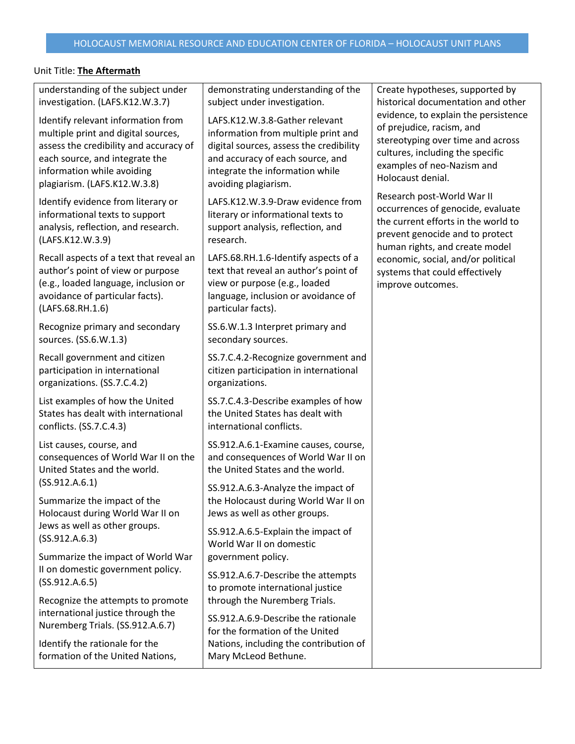| understanding of the subject under<br>investigation. (LAFS.K12.W.3.7)                                                                                                                                               | demonstrating understanding of the<br>subject under investigation.                                                                                                                                              | Create hypotheses, supported by<br>historical documentation and other                                                                                                                         |
|---------------------------------------------------------------------------------------------------------------------------------------------------------------------------------------------------------------------|-----------------------------------------------------------------------------------------------------------------------------------------------------------------------------------------------------------------|-----------------------------------------------------------------------------------------------------------------------------------------------------------------------------------------------|
| Identify relevant information from<br>multiple print and digital sources,<br>assess the credibility and accuracy of<br>each source, and integrate the<br>information while avoiding<br>plagiarism. (LAFS.K12.W.3.8) | LAFS.K12.W.3.8-Gather relevant<br>information from multiple print and<br>digital sources, assess the credibility<br>and accuracy of each source, and<br>integrate the information while<br>avoiding plagiarism. | evidence, to explain the persistence<br>of prejudice, racism, and<br>stereotyping over time and across<br>cultures, including the specific<br>examples of neo-Nazism and<br>Holocaust denial. |
| Identify evidence from literary or<br>informational texts to support<br>analysis, reflection, and research.<br>(LAFS.K12.W.3.9)                                                                                     | LAFS.K12.W.3.9-Draw evidence from<br>literary or informational texts to<br>support analysis, reflection, and<br>research.                                                                                       | Research post-World War II<br>occurrences of genocide, evaluate<br>the current efforts in the world to<br>prevent genocide and to protect<br>human rights, and create model                   |
| Recall aspects of a text that reveal an<br>author's point of view or purpose<br>(e.g., loaded language, inclusion or<br>avoidance of particular facts).<br>(LAFS.68.RH.1.6)                                         | LAFS.68.RH.1.6-Identify aspects of a<br>text that reveal an author's point of<br>view or purpose (e.g., loaded<br>language, inclusion or avoidance of<br>particular facts).                                     | economic, social, and/or political<br>systems that could effectively<br>improve outcomes.                                                                                                     |
| Recognize primary and secondary<br>sources. (SS.6.W.1.3)                                                                                                                                                            | SS.6.W.1.3 Interpret primary and<br>secondary sources.                                                                                                                                                          |                                                                                                                                                                                               |
| Recall government and citizen<br>participation in international<br>organizations. (SS.7.C.4.2)                                                                                                                      | SS.7.C.4.2-Recognize government and<br>citizen participation in international<br>organizations.                                                                                                                 |                                                                                                                                                                                               |
| List examples of how the United<br>States has dealt with international<br>conflicts. (SS.7.C.4.3)                                                                                                                   | SS.7.C.4.3-Describe examples of how<br>the United States has dealt with<br>international conflicts.                                                                                                             |                                                                                                                                                                                               |
| List causes, course, and<br>consequences of World War II on the<br>United States and the world.                                                                                                                     | SS.912.A.6.1-Examine causes, course,<br>and consequences of World War II on<br>the United States and the world.                                                                                                 |                                                                                                                                                                                               |
| (SS.912.A.6.1)<br>Summarize the impact of the<br>Holocaust during World War II on                                                                                                                                   | SS.912.A.6.3-Analyze the impact of<br>the Holocaust during World War II on<br>Jews as well as other groups.                                                                                                     |                                                                                                                                                                                               |
| Jews as well as other groups.<br>(SS.912.A.6.3)                                                                                                                                                                     | SS.912.A.6.5-Explain the impact of<br>World War II on domestic                                                                                                                                                  |                                                                                                                                                                                               |
| Summarize the impact of World War<br>II on domestic government policy.<br>(SS.912.A.6.5)                                                                                                                            | government policy.<br>SS.912.A.6.7-Describe the attempts<br>to promote international justice                                                                                                                    |                                                                                                                                                                                               |
| Recognize the attempts to promote<br>international justice through the<br>Nuremberg Trials. (SS.912.A.6.7)                                                                                                          | through the Nuremberg Trials.<br>SS.912.A.6.9-Describe the rationale<br>for the formation of the United                                                                                                         |                                                                                                                                                                                               |
| Identify the rationale for the<br>formation of the United Nations,                                                                                                                                                  | Nations, including the contribution of<br>Mary McLeod Bethune.                                                                                                                                                  |                                                                                                                                                                                               |
|                                                                                                                                                                                                                     |                                                                                                                                                                                                                 |                                                                                                                                                                                               |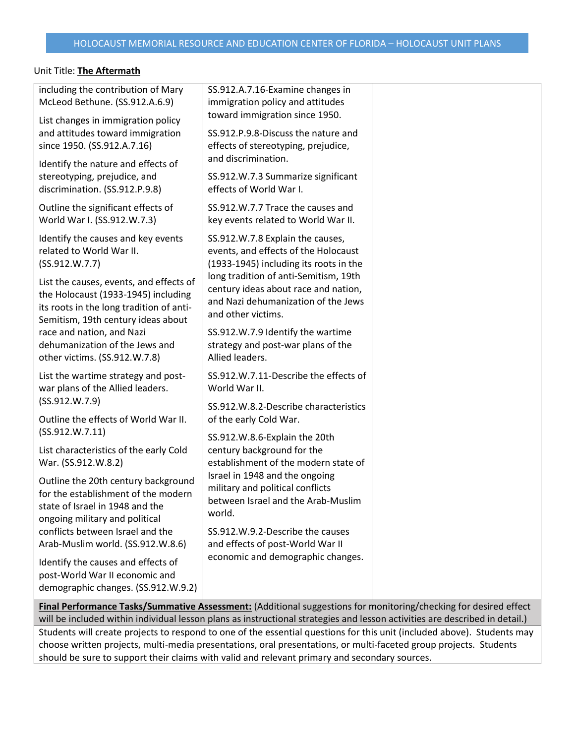| including the contribution of Mary<br>McLeod Bethune. (SS.912.A.6.9)                                                                            | SS.912.A.7.16-Examine changes in<br>immigration policy and attitudes<br>toward immigration since 1950.                                                      |  |
|-------------------------------------------------------------------------------------------------------------------------------------------------|-------------------------------------------------------------------------------------------------------------------------------------------------------------|--|
| List changes in immigration policy<br>and attitudes toward immigration<br>since 1950. (SS.912.A.7.16)                                           | SS.912.P.9.8-Discuss the nature and<br>effects of stereotyping, prejudice,<br>and discrimination.                                                           |  |
| Identify the nature and effects of<br>stereotyping, prejudice, and<br>discrimination. (SS.912.P.9.8)                                            | SS.912.W.7.3 Summarize significant<br>effects of World War I.                                                                                               |  |
| Outline the significant effects of<br>World War I. (SS.912.W.7.3)                                                                               | SS.912.W.7.7 Trace the causes and<br>key events related to World War II.                                                                                    |  |
| Identify the causes and key events<br>related to World War II.<br>(SS.912.W.7.7)<br>List the causes, events, and effects of                     | SS.912.W.7.8 Explain the causes,<br>events, and effects of the Holocaust<br>(1933-1945) including its roots in the<br>long tradition of anti-Semitism, 19th |  |
| the Holocaust (1933-1945) including<br>its roots in the long tradition of anti-<br>Semitism, 19th century ideas about                           | century ideas about race and nation,<br>and Nazi dehumanization of the Jews<br>and other victims.                                                           |  |
| race and nation, and Nazi<br>dehumanization of the Jews and<br>other victims. (SS.912.W.7.8)                                                    | SS.912.W.7.9 Identify the wartime<br>strategy and post-war plans of the<br>Allied leaders.                                                                  |  |
| List the wartime strategy and post-<br>war plans of the Allied leaders.                                                                         | SS.912.W.7.11-Describe the effects of<br>World War II.                                                                                                      |  |
| (SS.912.W.7.9)<br>Outline the effects of World War II.                                                                                          | SS.912.W.8.2-Describe characteristics<br>of the early Cold War.                                                                                             |  |
| (SS.912.W.7.11)<br>List characteristics of the early Cold<br>War. (SS.912.W.8.2)                                                                | SS.912.W.8.6-Explain the 20th<br>century background for the<br>establishment of the modern state of                                                         |  |
| Outline the 20th century background<br>for the establishment of the modern<br>state of Israel in 1948 and the<br>ongoing military and political | Israel in 1948 and the ongoing<br>military and political conflicts<br>between Israel and the Arab-Muslim<br>world.                                          |  |
| conflicts between Israel and the<br>Arab-Muslim world. (SS.912.W.8.6)                                                                           | SS.912.W.9.2-Describe the causes<br>and effects of post-World War II                                                                                        |  |
| Identify the causes and effects of<br>post-World War II economic and<br>demographic changes. (SS.912.W.9.2)                                     | economic and demographic changes.                                                                                                                           |  |
|                                                                                                                                                 | $\Box$ Final Performance Tasks/Summative Assessment: (Additional suggestions for monitoring/checking for desired effect                                     |  |

**Final Performance Tasks/Summative Assessment:** (Additional suggestions for monitoring/checking for desired effect will be included within individual lesson plans as instructional strategies and lesson activities are described in detail.) Students will create projects to respond to one of the essential questions for this unit (included above). Students may

choose written projects, multi-media presentations, oral presentations, or multi-faceted group projects. Students should be sure to support their claims with valid and relevant primary and secondary sources.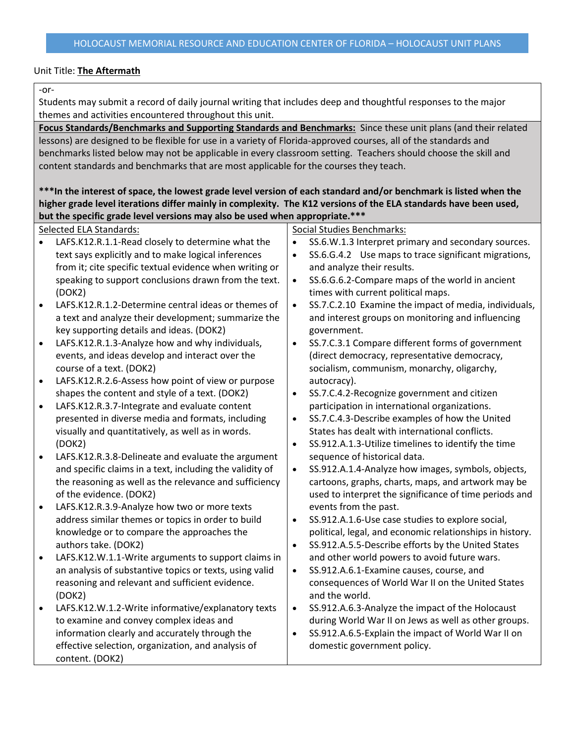#### -or-

Students may submit a record of daily journal writing that includes deep and thoughtful responses to the major themes and activities encountered throughout this unit.

**Focus Standards/Benchmarks and Supporting Standards and Benchmarks:** Since these unit plans (and their related lessons) are designed to be flexible for use in a variety of Florida-approved courses, all of the standards and benchmarks listed below may not be applicable in every classroom setting. Teachers should choose the skill and content standards and benchmarks that are most applicable for the courses they teach.

## **\*\*\*In the interest of space, the lowest grade level version of each standard and/or benchmark is listed when the higher grade level iterations differ mainly in complexity. The K12 versions of the ELA standards have been used, but the specific grade level versions may also be used when appropriate.\*\*\***

|           | Selected ELA Standards:                                  |           | <b>Social Studies Benchmarks:</b>                        |
|-----------|----------------------------------------------------------|-----------|----------------------------------------------------------|
|           | LAFS.K12.R.1.1-Read closely to determine what the        | $\bullet$ | SS.6.W.1.3 Interpret primary and secondary sources.      |
|           | text says explicitly and to make logical inferences      | $\bullet$ | SS.6.G.4.2 Use maps to trace significant migrations,     |
|           | from it; cite specific textual evidence when writing or  |           | and analyze their results.                               |
|           | speaking to support conclusions drawn from the text.     | $\bullet$ | SS.6.G.6.2-Compare maps of the world in ancient          |
|           | (DOK2)                                                   |           | times with current political maps.                       |
|           | LAFS.K12.R.1.2-Determine central ideas or themes of      | $\bullet$ | SS.7.C.2.10 Examine the impact of media, individuals,    |
|           | a text and analyze their development; summarize the      |           | and interest groups on monitoring and influencing        |
|           | key supporting details and ideas. (DOK2)                 |           | government.                                              |
| $\bullet$ | LAFS.K12.R.1.3-Analyze how and why individuals,          | $\bullet$ | SS.7.C.3.1 Compare different forms of government         |
|           | events, and ideas develop and interact over the          |           | (direct democracy, representative democracy,             |
|           | course of a text. (DOK2)                                 |           | socialism, communism, monarchy, oligarchy,               |
| $\bullet$ | LAFS.K12.R.2.6-Assess how point of view or purpose       |           | autocracy).                                              |
|           | shapes the content and style of a text. (DOK2)           | $\bullet$ | SS.7.C.4.2-Recognize government and citizen              |
| $\bullet$ | LAFS.K12.R.3.7-Integrate and evaluate content            |           | participation in international organizations.            |
|           | presented in diverse media and formats, including        | $\bullet$ | SS.7.C.4.3-Describe examples of how the United           |
|           | visually and quantitatively, as well as in words.        |           | States has dealt with international conflicts.           |
|           | (DOK2)                                                   | $\bullet$ | SS.912.A.1.3-Utilize timelines to identify the time      |
| $\bullet$ | LAFS.K12.R.3.8-Delineate and evaluate the argument       |           | sequence of historical data.                             |
|           | and specific claims in a text, including the validity of | $\bullet$ | SS.912.A.1.4-Analyze how images, symbols, objects,       |
|           | the reasoning as well as the relevance and sufficiency   |           | cartoons, graphs, charts, maps, and artwork may be       |
|           | of the evidence. (DOK2)                                  |           | used to interpret the significance of time periods and   |
| $\bullet$ | LAFS.K12.R.3.9-Analyze how two or more texts             |           | events from the past.                                    |
|           | address similar themes or topics in order to build       | $\bullet$ | SS.912.A.1.6-Use case studies to explore social,         |
|           | knowledge or to compare the approaches the               |           | political, legal, and economic relationships in history. |
|           | authors take. (DOK2)                                     | $\bullet$ | SS.912.A.5.5-Describe efforts by the United States       |
|           | LAFS.K12.W.1.1-Write arguments to support claims in      |           | and other world powers to avoid future wars.             |
|           | an analysis of substantive topics or texts, using valid  | $\bullet$ | SS.912.A.6.1-Examine causes, course, and                 |
|           | reasoning and relevant and sufficient evidence.          |           | consequences of World War II on the United States        |
|           | (DOK2)                                                   |           | and the world.                                           |
| $\bullet$ | LAFS.K12.W.1.2-Write informative/explanatory texts       | $\bullet$ | SS.912.A.6.3-Analyze the impact of the Holocaust         |
|           | to examine and convey complex ideas and                  |           | during World War II on Jews as well as other groups.     |
|           | information clearly and accurately through the           | $\bullet$ | SS.912.A.6.5-Explain the impact of World War II on       |
|           | effective selection, organization, and analysis of       |           | domestic government policy.                              |
|           | content. (DOK2)                                          |           |                                                          |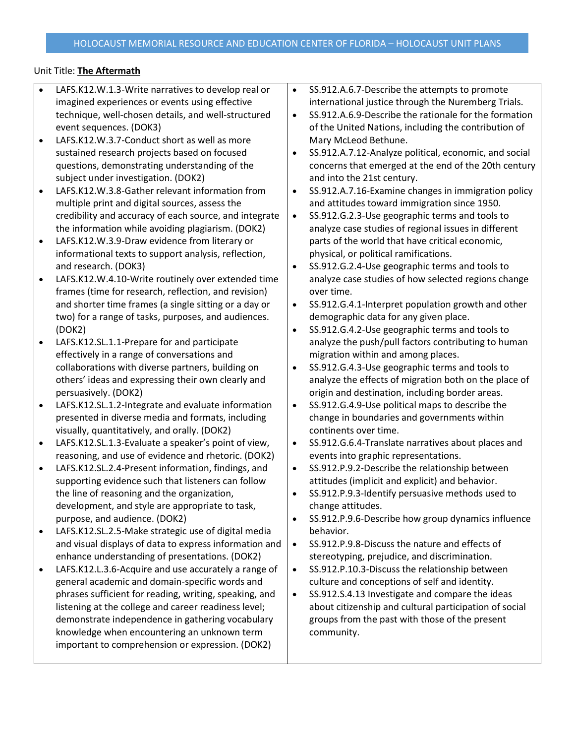| $\bullet$ | LAFS.K12.W.1.3-Write narratives to develop real or  |
|-----------|-----------------------------------------------------|
|           | imagined experiences or events using effective      |
|           | technique, well-chosen details, and well-structured |
|           | event sequences. (DOK3)                             |

- LAFS.K12.W.3.7-Conduct short as well as more sustained research projects based on focused questions, demonstrating understanding of the subject under investigation. (DOK2)
- LAFS.K12.W.3.8-Gather relevant information from multiple print and digital sources, assess the credibility and accuracy of each source, and integrate the information while avoiding plagiarism. (DOK2)
- LAFS.K12.W.3.9-Draw evidence from literary or informational texts to support analysis, reflection, and research. (DOK3)
- LAFS.K12.W.4.10-Write routinely over extended time frames (time for research, reflection, and revision) and shorter time frames (a single sitting or a day or two) for a range of tasks, purposes, and audiences. (DOK2)
- LAFS.K12.SL.1.1-Prepare for and participate effectively in a range of conversations and collaborations with diverse partners, building on others' ideas and expressing their own clearly and persuasively. (DOK2)
- LAFS.K12.SL.1.2-Integrate and evaluate information presented in diverse media and formats, including visually, quantitatively, and orally. (DOK2)
- LAFS.K12.SL.1.3-Evaluate a speaker's point of view, reasoning, and use of evidence and rhetoric. (DOK2)
- LAFS.K12.SL.2.4-Present information, findings, and supporting evidence such that listeners can follow the line of reasoning and the organization, development, and style are appropriate to task, purpose, and audience. (DOK2)
- LAFS.K12.SL.2.5-Make strategic use of digital media and visual displays of data to express information and enhance understanding of presentations. (DOK2)
- LAFS.K12.L.3.6-Acquire and use accurately a range of general academic and domain-specific words and phrases sufficient for reading, writing, speaking, and listening at the college and career readiness level; demonstrate independence in gathering vocabulary knowledge when encountering an unknown term important to comprehension or expression. (DOK2)
- SS.912.A.6.7-Describe the attempts to promote international justice through the Nuremberg Trials.
- SS.912.A.6.9-Describe the rationale for the formation of the United Nations, including the contribution of Mary McLeod Bethune.
- SS.912.A.7.12-Analyze political, economic, and social concerns that emerged at the end of the 20th century and into the 21st century.
- SS.912.A.7.16-Examine changes in immigration policy and attitudes toward immigration since 1950.
- SS.912.G.2.3-Use geographic terms and tools to analyze case studies of regional issues in different parts of the world that have critical economic, physical, or political ramifications.
- SS.912.G.2.4-Use geographic terms and tools to analyze case studies of how selected regions change over time.
- SS.912.G.4.1-Interpret population growth and other demographic data for any given place.
- SS.912.G.4.2-Use geographic terms and tools to analyze the push/pull factors contributing to human migration within and among places.
- SS.912.G.4.3-Use geographic terms and tools to analyze the effects of migration both on the place of origin and destination, including border areas.
- SS.912.G.4.9-Use political maps to describe the change in boundaries and governments within continents over time.
- SS.912.G.6.4-Translate narratives about places and events into graphic representations.
- SS.912.P.9.2-Describe the relationship between attitudes (implicit and explicit) and behavior.
- SS.912.P.9.3-Identify persuasive methods used to change attitudes.
- SS.912.P.9.6-Describe how group dynamics influence behavior.
- SS.912.P.9.8-Discuss the nature and effects of stereotyping, prejudice, and discrimination.
- SS.912.P.10.3-Discuss the relationship between culture and conceptions of self and identity.
- SS.912.S.4.13 Investigate and compare the ideas about citizenship and cultural participation of social groups from the past with those of the present community.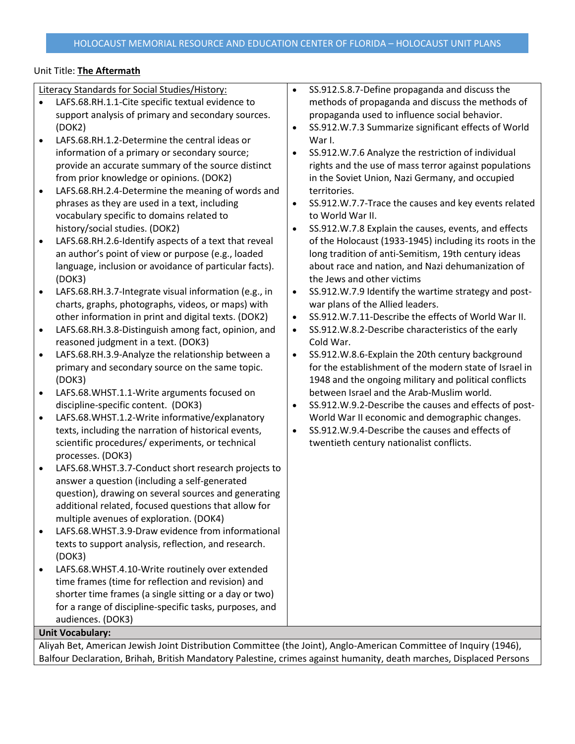| LAFS.68.RH.1.1-Cite specific textual evidence to<br>methods of propaganda and discuss the methods of<br>$\bullet$<br>support analysis of primary and secondary sources.<br>propaganda used to influence social behavior.<br>(DOK2)<br>SS.912.W.7.3 Summarize significant effects of World<br>$\bullet$<br>LAFS.68.RH.1.2-Determine the central ideas or<br>War I.<br>$\bullet$<br>information of a primary or secondary source;<br>SS.912.W.7.6 Analyze the restriction of individual<br>$\bullet$<br>rights and the use of mass terror against populations<br>provide an accurate summary of the source distinct<br>from prior knowledge or opinions. (DOK2)<br>in the Soviet Union, Nazi Germany, and occupied<br>LAFS.68.RH.2.4-Determine the meaning of words and<br>territories.<br>$\bullet$<br>phrases as they are used in a text, including<br>SS.912.W.7.7-Trace the causes and key events related<br>$\bullet$<br>vocabulary specific to domains related to<br>to World War II.<br>history/social studies. (DOK2)<br>SS.912.W.7.8 Explain the causes, events, and effects<br>$\bullet$<br>LAFS.68.RH.2.6-Identify aspects of a text that reveal<br>of the Holocaust (1933-1945) including its roots in the<br>$\bullet$<br>an author's point of view or purpose (e.g., loaded<br>long tradition of anti-Semitism, 19th century ideas<br>language, inclusion or avoidance of particular facts).<br>about race and nation, and Nazi dehumanization of<br>the Jews and other victims<br>(DOK3)<br>SS.912.W.7.9 Identify the wartime strategy and post-<br>LAFS.68.RH.3.7-Integrate visual information (e.g., in<br>$\bullet$<br>$\bullet$<br>charts, graphs, photographs, videos, or maps) with<br>war plans of the Allied leaders.<br>SS.912.W.7.11-Describe the effects of World War II.<br>other information in print and digital texts. (DOK2)<br>$\bullet$<br>LAFS.68.RH.3.8-Distinguish among fact, opinion, and<br>SS.912.W.8.2-Describe characteristics of the early<br>$\bullet$<br>$\bullet$<br>Cold War.<br>reasoned judgment in a text. (DOK3)<br>LAFS.68.RH.3.9-Analyze the relationship between a<br>SS.912.W.8.6-Explain the 20th century background<br>$\bullet$<br>$\bullet$<br>for the establishment of the modern state of Israel in<br>primary and secondary source on the same topic.<br>1948 and the ongoing military and political conflicts<br>(DOK3)<br>between Israel and the Arab-Muslim world.<br>LAFS.68.WHST.1.1-Write arguments focused on<br>$\bullet$<br>discipline-specific content. (DOK3)<br>SS.912.W.9.2-Describe the causes and effects of post-<br>$\bullet$<br>LAFS.68.WHST.1.2-Write informative/explanatory<br>World War II economic and demographic changes.<br>$\bullet$<br>SS.912.W.9.4-Describe the causes and effects of<br>texts, including the narration of historical events,<br>$\bullet$<br>twentieth century nationalist conflicts.<br>scientific procedures/experiments, or technical<br>processes. (DOK3)<br>LAFS.68.WHST.3.7-Conduct short research projects to<br>$\bullet$<br>answer a question (including a self-generated<br>question), drawing on several sources and generating<br>additional related, focused questions that allow for<br>multiple avenues of exploration. (DOK4)<br>LAFS.68.WHST.3.9-Draw evidence from informational<br>$\bullet$<br>texts to support analysis, reflection, and research.<br>(DOK3)<br>LAFS.68.WHST.4.10-Write routinely over extended<br>$\bullet$<br>time frames (time for reflection and revision) and<br>shorter time frames (a single sitting or a day or two)<br>for a range of discipline-specific tasks, purposes, and<br>audiences. (DOK3)<br><b>Unit Vocabulary:</b> | Literacy Standards for Social Studies/History: | $\bullet$ | SS.912.S.8.7-Define propaganda and discuss the |
|----------------------------------------------------------------------------------------------------------------------------------------------------------------------------------------------------------------------------------------------------------------------------------------------------------------------------------------------------------------------------------------------------------------------------------------------------------------------------------------------------------------------------------------------------------------------------------------------------------------------------------------------------------------------------------------------------------------------------------------------------------------------------------------------------------------------------------------------------------------------------------------------------------------------------------------------------------------------------------------------------------------------------------------------------------------------------------------------------------------------------------------------------------------------------------------------------------------------------------------------------------------------------------------------------------------------------------------------------------------------------------------------------------------------------------------------------------------------------------------------------------------------------------------------------------------------------------------------------------------------------------------------------------------------------------------------------------------------------------------------------------------------------------------------------------------------------------------------------------------------------------------------------------------------------------------------------------------------------------------------------------------------------------------------------------------------------------------------------------------------------------------------------------------------------------------------------------------------------------------------------------------------------------------------------------------------------------------------------------------------------------------------------------------------------------------------------------------------------------------------------------------------------------------------------------------------------------------------------------------------------------------------------------------------------------------------------------------------------------------------------------------------------------------------------------------------------------------------------------------------------------------------------------------------------------------------------------------------------------------------------------------------------------------------------------------------------------------------------------------------------------------------------------------------------------------------------------------------------------------------------------------------------------------------------------------------------------------------------------------------------------------------------------------------------------------------------------------------------------------------------------------------------------------------------------------------------------------------------------------------------------------------------------------------------------------|------------------------------------------------|-----------|------------------------------------------------|
|                                                                                                                                                                                                                                                                                                                                                                                                                                                                                                                                                                                                                                                                                                                                                                                                                                                                                                                                                                                                                                                                                                                                                                                                                                                                                                                                                                                                                                                                                                                                                                                                                                                                                                                                                                                                                                                                                                                                                                                                                                                                                                                                                                                                                                                                                                                                                                                                                                                                                                                                                                                                                                                                                                                                                                                                                                                                                                                                                                                                                                                                                                                                                                                                                                                                                                                                                                                                                                                                                                                                                                                                                                                                                        |                                                |           |                                                |
|                                                                                                                                                                                                                                                                                                                                                                                                                                                                                                                                                                                                                                                                                                                                                                                                                                                                                                                                                                                                                                                                                                                                                                                                                                                                                                                                                                                                                                                                                                                                                                                                                                                                                                                                                                                                                                                                                                                                                                                                                                                                                                                                                                                                                                                                                                                                                                                                                                                                                                                                                                                                                                                                                                                                                                                                                                                                                                                                                                                                                                                                                                                                                                                                                                                                                                                                                                                                                                                                                                                                                                                                                                                                                        |                                                |           |                                                |
|                                                                                                                                                                                                                                                                                                                                                                                                                                                                                                                                                                                                                                                                                                                                                                                                                                                                                                                                                                                                                                                                                                                                                                                                                                                                                                                                                                                                                                                                                                                                                                                                                                                                                                                                                                                                                                                                                                                                                                                                                                                                                                                                                                                                                                                                                                                                                                                                                                                                                                                                                                                                                                                                                                                                                                                                                                                                                                                                                                                                                                                                                                                                                                                                                                                                                                                                                                                                                                                                                                                                                                                                                                                                                        |                                                |           |                                                |
|                                                                                                                                                                                                                                                                                                                                                                                                                                                                                                                                                                                                                                                                                                                                                                                                                                                                                                                                                                                                                                                                                                                                                                                                                                                                                                                                                                                                                                                                                                                                                                                                                                                                                                                                                                                                                                                                                                                                                                                                                                                                                                                                                                                                                                                                                                                                                                                                                                                                                                                                                                                                                                                                                                                                                                                                                                                                                                                                                                                                                                                                                                                                                                                                                                                                                                                                                                                                                                                                                                                                                                                                                                                                                        |                                                |           |                                                |
|                                                                                                                                                                                                                                                                                                                                                                                                                                                                                                                                                                                                                                                                                                                                                                                                                                                                                                                                                                                                                                                                                                                                                                                                                                                                                                                                                                                                                                                                                                                                                                                                                                                                                                                                                                                                                                                                                                                                                                                                                                                                                                                                                                                                                                                                                                                                                                                                                                                                                                                                                                                                                                                                                                                                                                                                                                                                                                                                                                                                                                                                                                                                                                                                                                                                                                                                                                                                                                                                                                                                                                                                                                                                                        |                                                |           |                                                |
|                                                                                                                                                                                                                                                                                                                                                                                                                                                                                                                                                                                                                                                                                                                                                                                                                                                                                                                                                                                                                                                                                                                                                                                                                                                                                                                                                                                                                                                                                                                                                                                                                                                                                                                                                                                                                                                                                                                                                                                                                                                                                                                                                                                                                                                                                                                                                                                                                                                                                                                                                                                                                                                                                                                                                                                                                                                                                                                                                                                                                                                                                                                                                                                                                                                                                                                                                                                                                                                                                                                                                                                                                                                                                        |                                                |           |                                                |
|                                                                                                                                                                                                                                                                                                                                                                                                                                                                                                                                                                                                                                                                                                                                                                                                                                                                                                                                                                                                                                                                                                                                                                                                                                                                                                                                                                                                                                                                                                                                                                                                                                                                                                                                                                                                                                                                                                                                                                                                                                                                                                                                                                                                                                                                                                                                                                                                                                                                                                                                                                                                                                                                                                                                                                                                                                                                                                                                                                                                                                                                                                                                                                                                                                                                                                                                                                                                                                                                                                                                                                                                                                                                                        |                                                |           |                                                |
|                                                                                                                                                                                                                                                                                                                                                                                                                                                                                                                                                                                                                                                                                                                                                                                                                                                                                                                                                                                                                                                                                                                                                                                                                                                                                                                                                                                                                                                                                                                                                                                                                                                                                                                                                                                                                                                                                                                                                                                                                                                                                                                                                                                                                                                                                                                                                                                                                                                                                                                                                                                                                                                                                                                                                                                                                                                                                                                                                                                                                                                                                                                                                                                                                                                                                                                                                                                                                                                                                                                                                                                                                                                                                        |                                                |           |                                                |
|                                                                                                                                                                                                                                                                                                                                                                                                                                                                                                                                                                                                                                                                                                                                                                                                                                                                                                                                                                                                                                                                                                                                                                                                                                                                                                                                                                                                                                                                                                                                                                                                                                                                                                                                                                                                                                                                                                                                                                                                                                                                                                                                                                                                                                                                                                                                                                                                                                                                                                                                                                                                                                                                                                                                                                                                                                                                                                                                                                                                                                                                                                                                                                                                                                                                                                                                                                                                                                                                                                                                                                                                                                                                                        |                                                |           |                                                |
|                                                                                                                                                                                                                                                                                                                                                                                                                                                                                                                                                                                                                                                                                                                                                                                                                                                                                                                                                                                                                                                                                                                                                                                                                                                                                                                                                                                                                                                                                                                                                                                                                                                                                                                                                                                                                                                                                                                                                                                                                                                                                                                                                                                                                                                                                                                                                                                                                                                                                                                                                                                                                                                                                                                                                                                                                                                                                                                                                                                                                                                                                                                                                                                                                                                                                                                                                                                                                                                                                                                                                                                                                                                                                        |                                                |           |                                                |
|                                                                                                                                                                                                                                                                                                                                                                                                                                                                                                                                                                                                                                                                                                                                                                                                                                                                                                                                                                                                                                                                                                                                                                                                                                                                                                                                                                                                                                                                                                                                                                                                                                                                                                                                                                                                                                                                                                                                                                                                                                                                                                                                                                                                                                                                                                                                                                                                                                                                                                                                                                                                                                                                                                                                                                                                                                                                                                                                                                                                                                                                                                                                                                                                                                                                                                                                                                                                                                                                                                                                                                                                                                                                                        |                                                |           |                                                |
|                                                                                                                                                                                                                                                                                                                                                                                                                                                                                                                                                                                                                                                                                                                                                                                                                                                                                                                                                                                                                                                                                                                                                                                                                                                                                                                                                                                                                                                                                                                                                                                                                                                                                                                                                                                                                                                                                                                                                                                                                                                                                                                                                                                                                                                                                                                                                                                                                                                                                                                                                                                                                                                                                                                                                                                                                                                                                                                                                                                                                                                                                                                                                                                                                                                                                                                                                                                                                                                                                                                                                                                                                                                                                        |                                                |           |                                                |
|                                                                                                                                                                                                                                                                                                                                                                                                                                                                                                                                                                                                                                                                                                                                                                                                                                                                                                                                                                                                                                                                                                                                                                                                                                                                                                                                                                                                                                                                                                                                                                                                                                                                                                                                                                                                                                                                                                                                                                                                                                                                                                                                                                                                                                                                                                                                                                                                                                                                                                                                                                                                                                                                                                                                                                                                                                                                                                                                                                                                                                                                                                                                                                                                                                                                                                                                                                                                                                                                                                                                                                                                                                                                                        |                                                |           |                                                |
|                                                                                                                                                                                                                                                                                                                                                                                                                                                                                                                                                                                                                                                                                                                                                                                                                                                                                                                                                                                                                                                                                                                                                                                                                                                                                                                                                                                                                                                                                                                                                                                                                                                                                                                                                                                                                                                                                                                                                                                                                                                                                                                                                                                                                                                                                                                                                                                                                                                                                                                                                                                                                                                                                                                                                                                                                                                                                                                                                                                                                                                                                                                                                                                                                                                                                                                                                                                                                                                                                                                                                                                                                                                                                        |                                                |           |                                                |
|                                                                                                                                                                                                                                                                                                                                                                                                                                                                                                                                                                                                                                                                                                                                                                                                                                                                                                                                                                                                                                                                                                                                                                                                                                                                                                                                                                                                                                                                                                                                                                                                                                                                                                                                                                                                                                                                                                                                                                                                                                                                                                                                                                                                                                                                                                                                                                                                                                                                                                                                                                                                                                                                                                                                                                                                                                                                                                                                                                                                                                                                                                                                                                                                                                                                                                                                                                                                                                                                                                                                                                                                                                                                                        |                                                |           |                                                |
|                                                                                                                                                                                                                                                                                                                                                                                                                                                                                                                                                                                                                                                                                                                                                                                                                                                                                                                                                                                                                                                                                                                                                                                                                                                                                                                                                                                                                                                                                                                                                                                                                                                                                                                                                                                                                                                                                                                                                                                                                                                                                                                                                                                                                                                                                                                                                                                                                                                                                                                                                                                                                                                                                                                                                                                                                                                                                                                                                                                                                                                                                                                                                                                                                                                                                                                                                                                                                                                                                                                                                                                                                                                                                        |                                                |           |                                                |
|                                                                                                                                                                                                                                                                                                                                                                                                                                                                                                                                                                                                                                                                                                                                                                                                                                                                                                                                                                                                                                                                                                                                                                                                                                                                                                                                                                                                                                                                                                                                                                                                                                                                                                                                                                                                                                                                                                                                                                                                                                                                                                                                                                                                                                                                                                                                                                                                                                                                                                                                                                                                                                                                                                                                                                                                                                                                                                                                                                                                                                                                                                                                                                                                                                                                                                                                                                                                                                                                                                                                                                                                                                                                                        |                                                |           |                                                |
|                                                                                                                                                                                                                                                                                                                                                                                                                                                                                                                                                                                                                                                                                                                                                                                                                                                                                                                                                                                                                                                                                                                                                                                                                                                                                                                                                                                                                                                                                                                                                                                                                                                                                                                                                                                                                                                                                                                                                                                                                                                                                                                                                                                                                                                                                                                                                                                                                                                                                                                                                                                                                                                                                                                                                                                                                                                                                                                                                                                                                                                                                                                                                                                                                                                                                                                                                                                                                                                                                                                                                                                                                                                                                        |                                                |           |                                                |
|                                                                                                                                                                                                                                                                                                                                                                                                                                                                                                                                                                                                                                                                                                                                                                                                                                                                                                                                                                                                                                                                                                                                                                                                                                                                                                                                                                                                                                                                                                                                                                                                                                                                                                                                                                                                                                                                                                                                                                                                                                                                                                                                                                                                                                                                                                                                                                                                                                                                                                                                                                                                                                                                                                                                                                                                                                                                                                                                                                                                                                                                                                                                                                                                                                                                                                                                                                                                                                                                                                                                                                                                                                                                                        |                                                |           |                                                |
|                                                                                                                                                                                                                                                                                                                                                                                                                                                                                                                                                                                                                                                                                                                                                                                                                                                                                                                                                                                                                                                                                                                                                                                                                                                                                                                                                                                                                                                                                                                                                                                                                                                                                                                                                                                                                                                                                                                                                                                                                                                                                                                                                                                                                                                                                                                                                                                                                                                                                                                                                                                                                                                                                                                                                                                                                                                                                                                                                                                                                                                                                                                                                                                                                                                                                                                                                                                                                                                                                                                                                                                                                                                                                        |                                                |           |                                                |
|                                                                                                                                                                                                                                                                                                                                                                                                                                                                                                                                                                                                                                                                                                                                                                                                                                                                                                                                                                                                                                                                                                                                                                                                                                                                                                                                                                                                                                                                                                                                                                                                                                                                                                                                                                                                                                                                                                                                                                                                                                                                                                                                                                                                                                                                                                                                                                                                                                                                                                                                                                                                                                                                                                                                                                                                                                                                                                                                                                                                                                                                                                                                                                                                                                                                                                                                                                                                                                                                                                                                                                                                                                                                                        |                                                |           |                                                |
|                                                                                                                                                                                                                                                                                                                                                                                                                                                                                                                                                                                                                                                                                                                                                                                                                                                                                                                                                                                                                                                                                                                                                                                                                                                                                                                                                                                                                                                                                                                                                                                                                                                                                                                                                                                                                                                                                                                                                                                                                                                                                                                                                                                                                                                                                                                                                                                                                                                                                                                                                                                                                                                                                                                                                                                                                                                                                                                                                                                                                                                                                                                                                                                                                                                                                                                                                                                                                                                                                                                                                                                                                                                                                        |                                                |           |                                                |
|                                                                                                                                                                                                                                                                                                                                                                                                                                                                                                                                                                                                                                                                                                                                                                                                                                                                                                                                                                                                                                                                                                                                                                                                                                                                                                                                                                                                                                                                                                                                                                                                                                                                                                                                                                                                                                                                                                                                                                                                                                                                                                                                                                                                                                                                                                                                                                                                                                                                                                                                                                                                                                                                                                                                                                                                                                                                                                                                                                                                                                                                                                                                                                                                                                                                                                                                                                                                                                                                                                                                                                                                                                                                                        |                                                |           |                                                |
|                                                                                                                                                                                                                                                                                                                                                                                                                                                                                                                                                                                                                                                                                                                                                                                                                                                                                                                                                                                                                                                                                                                                                                                                                                                                                                                                                                                                                                                                                                                                                                                                                                                                                                                                                                                                                                                                                                                                                                                                                                                                                                                                                                                                                                                                                                                                                                                                                                                                                                                                                                                                                                                                                                                                                                                                                                                                                                                                                                                                                                                                                                                                                                                                                                                                                                                                                                                                                                                                                                                                                                                                                                                                                        |                                                |           |                                                |
|                                                                                                                                                                                                                                                                                                                                                                                                                                                                                                                                                                                                                                                                                                                                                                                                                                                                                                                                                                                                                                                                                                                                                                                                                                                                                                                                                                                                                                                                                                                                                                                                                                                                                                                                                                                                                                                                                                                                                                                                                                                                                                                                                                                                                                                                                                                                                                                                                                                                                                                                                                                                                                                                                                                                                                                                                                                                                                                                                                                                                                                                                                                                                                                                                                                                                                                                                                                                                                                                                                                                                                                                                                                                                        |                                                |           |                                                |
|                                                                                                                                                                                                                                                                                                                                                                                                                                                                                                                                                                                                                                                                                                                                                                                                                                                                                                                                                                                                                                                                                                                                                                                                                                                                                                                                                                                                                                                                                                                                                                                                                                                                                                                                                                                                                                                                                                                                                                                                                                                                                                                                                                                                                                                                                                                                                                                                                                                                                                                                                                                                                                                                                                                                                                                                                                                                                                                                                                                                                                                                                                                                                                                                                                                                                                                                                                                                                                                                                                                                                                                                                                                                                        |                                                |           |                                                |
|                                                                                                                                                                                                                                                                                                                                                                                                                                                                                                                                                                                                                                                                                                                                                                                                                                                                                                                                                                                                                                                                                                                                                                                                                                                                                                                                                                                                                                                                                                                                                                                                                                                                                                                                                                                                                                                                                                                                                                                                                                                                                                                                                                                                                                                                                                                                                                                                                                                                                                                                                                                                                                                                                                                                                                                                                                                                                                                                                                                                                                                                                                                                                                                                                                                                                                                                                                                                                                                                                                                                                                                                                                                                                        |                                                |           |                                                |
|                                                                                                                                                                                                                                                                                                                                                                                                                                                                                                                                                                                                                                                                                                                                                                                                                                                                                                                                                                                                                                                                                                                                                                                                                                                                                                                                                                                                                                                                                                                                                                                                                                                                                                                                                                                                                                                                                                                                                                                                                                                                                                                                                                                                                                                                                                                                                                                                                                                                                                                                                                                                                                                                                                                                                                                                                                                                                                                                                                                                                                                                                                                                                                                                                                                                                                                                                                                                                                                                                                                                                                                                                                                                                        |                                                |           |                                                |
|                                                                                                                                                                                                                                                                                                                                                                                                                                                                                                                                                                                                                                                                                                                                                                                                                                                                                                                                                                                                                                                                                                                                                                                                                                                                                                                                                                                                                                                                                                                                                                                                                                                                                                                                                                                                                                                                                                                                                                                                                                                                                                                                                                                                                                                                                                                                                                                                                                                                                                                                                                                                                                                                                                                                                                                                                                                                                                                                                                                                                                                                                                                                                                                                                                                                                                                                                                                                                                                                                                                                                                                                                                                                                        |                                                |           |                                                |
|                                                                                                                                                                                                                                                                                                                                                                                                                                                                                                                                                                                                                                                                                                                                                                                                                                                                                                                                                                                                                                                                                                                                                                                                                                                                                                                                                                                                                                                                                                                                                                                                                                                                                                                                                                                                                                                                                                                                                                                                                                                                                                                                                                                                                                                                                                                                                                                                                                                                                                                                                                                                                                                                                                                                                                                                                                                                                                                                                                                                                                                                                                                                                                                                                                                                                                                                                                                                                                                                                                                                                                                                                                                                                        |                                                |           |                                                |
|                                                                                                                                                                                                                                                                                                                                                                                                                                                                                                                                                                                                                                                                                                                                                                                                                                                                                                                                                                                                                                                                                                                                                                                                                                                                                                                                                                                                                                                                                                                                                                                                                                                                                                                                                                                                                                                                                                                                                                                                                                                                                                                                                                                                                                                                                                                                                                                                                                                                                                                                                                                                                                                                                                                                                                                                                                                                                                                                                                                                                                                                                                                                                                                                                                                                                                                                                                                                                                                                                                                                                                                                                                                                                        |                                                |           |                                                |
|                                                                                                                                                                                                                                                                                                                                                                                                                                                                                                                                                                                                                                                                                                                                                                                                                                                                                                                                                                                                                                                                                                                                                                                                                                                                                                                                                                                                                                                                                                                                                                                                                                                                                                                                                                                                                                                                                                                                                                                                                                                                                                                                                                                                                                                                                                                                                                                                                                                                                                                                                                                                                                                                                                                                                                                                                                                                                                                                                                                                                                                                                                                                                                                                                                                                                                                                                                                                                                                                                                                                                                                                                                                                                        |                                                |           |                                                |
|                                                                                                                                                                                                                                                                                                                                                                                                                                                                                                                                                                                                                                                                                                                                                                                                                                                                                                                                                                                                                                                                                                                                                                                                                                                                                                                                                                                                                                                                                                                                                                                                                                                                                                                                                                                                                                                                                                                                                                                                                                                                                                                                                                                                                                                                                                                                                                                                                                                                                                                                                                                                                                                                                                                                                                                                                                                                                                                                                                                                                                                                                                                                                                                                                                                                                                                                                                                                                                                                                                                                                                                                                                                                                        |                                                |           |                                                |
|                                                                                                                                                                                                                                                                                                                                                                                                                                                                                                                                                                                                                                                                                                                                                                                                                                                                                                                                                                                                                                                                                                                                                                                                                                                                                                                                                                                                                                                                                                                                                                                                                                                                                                                                                                                                                                                                                                                                                                                                                                                                                                                                                                                                                                                                                                                                                                                                                                                                                                                                                                                                                                                                                                                                                                                                                                                                                                                                                                                                                                                                                                                                                                                                                                                                                                                                                                                                                                                                                                                                                                                                                                                                                        |                                                |           |                                                |
|                                                                                                                                                                                                                                                                                                                                                                                                                                                                                                                                                                                                                                                                                                                                                                                                                                                                                                                                                                                                                                                                                                                                                                                                                                                                                                                                                                                                                                                                                                                                                                                                                                                                                                                                                                                                                                                                                                                                                                                                                                                                                                                                                                                                                                                                                                                                                                                                                                                                                                                                                                                                                                                                                                                                                                                                                                                                                                                                                                                                                                                                                                                                                                                                                                                                                                                                                                                                                                                                                                                                                                                                                                                                                        |                                                |           |                                                |
|                                                                                                                                                                                                                                                                                                                                                                                                                                                                                                                                                                                                                                                                                                                                                                                                                                                                                                                                                                                                                                                                                                                                                                                                                                                                                                                                                                                                                                                                                                                                                                                                                                                                                                                                                                                                                                                                                                                                                                                                                                                                                                                                                                                                                                                                                                                                                                                                                                                                                                                                                                                                                                                                                                                                                                                                                                                                                                                                                                                                                                                                                                                                                                                                                                                                                                                                                                                                                                                                                                                                                                                                                                                                                        |                                                |           |                                                |
|                                                                                                                                                                                                                                                                                                                                                                                                                                                                                                                                                                                                                                                                                                                                                                                                                                                                                                                                                                                                                                                                                                                                                                                                                                                                                                                                                                                                                                                                                                                                                                                                                                                                                                                                                                                                                                                                                                                                                                                                                                                                                                                                                                                                                                                                                                                                                                                                                                                                                                                                                                                                                                                                                                                                                                                                                                                                                                                                                                                                                                                                                                                                                                                                                                                                                                                                                                                                                                                                                                                                                                                                                                                                                        |                                                |           |                                                |
|                                                                                                                                                                                                                                                                                                                                                                                                                                                                                                                                                                                                                                                                                                                                                                                                                                                                                                                                                                                                                                                                                                                                                                                                                                                                                                                                                                                                                                                                                                                                                                                                                                                                                                                                                                                                                                                                                                                                                                                                                                                                                                                                                                                                                                                                                                                                                                                                                                                                                                                                                                                                                                                                                                                                                                                                                                                                                                                                                                                                                                                                                                                                                                                                                                                                                                                                                                                                                                                                                                                                                                                                                                                                                        |                                                |           |                                                |
|                                                                                                                                                                                                                                                                                                                                                                                                                                                                                                                                                                                                                                                                                                                                                                                                                                                                                                                                                                                                                                                                                                                                                                                                                                                                                                                                                                                                                                                                                                                                                                                                                                                                                                                                                                                                                                                                                                                                                                                                                                                                                                                                                                                                                                                                                                                                                                                                                                                                                                                                                                                                                                                                                                                                                                                                                                                                                                                                                                                                                                                                                                                                                                                                                                                                                                                                                                                                                                                                                                                                                                                                                                                                                        |                                                |           |                                                |
|                                                                                                                                                                                                                                                                                                                                                                                                                                                                                                                                                                                                                                                                                                                                                                                                                                                                                                                                                                                                                                                                                                                                                                                                                                                                                                                                                                                                                                                                                                                                                                                                                                                                                                                                                                                                                                                                                                                                                                                                                                                                                                                                                                                                                                                                                                                                                                                                                                                                                                                                                                                                                                                                                                                                                                                                                                                                                                                                                                                                                                                                                                                                                                                                                                                                                                                                                                                                                                                                                                                                                                                                                                                                                        |                                                |           |                                                |
|                                                                                                                                                                                                                                                                                                                                                                                                                                                                                                                                                                                                                                                                                                                                                                                                                                                                                                                                                                                                                                                                                                                                                                                                                                                                                                                                                                                                                                                                                                                                                                                                                                                                                                                                                                                                                                                                                                                                                                                                                                                                                                                                                                                                                                                                                                                                                                                                                                                                                                                                                                                                                                                                                                                                                                                                                                                                                                                                                                                                                                                                                                                                                                                                                                                                                                                                                                                                                                                                                                                                                                                                                                                                                        |                                                |           |                                                |
|                                                                                                                                                                                                                                                                                                                                                                                                                                                                                                                                                                                                                                                                                                                                                                                                                                                                                                                                                                                                                                                                                                                                                                                                                                                                                                                                                                                                                                                                                                                                                                                                                                                                                                                                                                                                                                                                                                                                                                                                                                                                                                                                                                                                                                                                                                                                                                                                                                                                                                                                                                                                                                                                                                                                                                                                                                                                                                                                                                                                                                                                                                                                                                                                                                                                                                                                                                                                                                                                                                                                                                                                                                                                                        |                                                |           |                                                |
|                                                                                                                                                                                                                                                                                                                                                                                                                                                                                                                                                                                                                                                                                                                                                                                                                                                                                                                                                                                                                                                                                                                                                                                                                                                                                                                                                                                                                                                                                                                                                                                                                                                                                                                                                                                                                                                                                                                                                                                                                                                                                                                                                                                                                                                                                                                                                                                                                                                                                                                                                                                                                                                                                                                                                                                                                                                                                                                                                                                                                                                                                                                                                                                                                                                                                                                                                                                                                                                                                                                                                                                                                                                                                        |                                                |           |                                                |
| Aliyah Bet, American Jewish Joint Distribution Committee (the Joint), Anglo-American Committee of Inquiry (1946),                                                                                                                                                                                                                                                                                                                                                                                                                                                                                                                                                                                                                                                                                                                                                                                                                                                                                                                                                                                                                                                                                                                                                                                                                                                                                                                                                                                                                                                                                                                                                                                                                                                                                                                                                                                                                                                                                                                                                                                                                                                                                                                                                                                                                                                                                                                                                                                                                                                                                                                                                                                                                                                                                                                                                                                                                                                                                                                                                                                                                                                                                                                                                                                                                                                                                                                                                                                                                                                                                                                                                                      |                                                |           |                                                |

Balfour Declaration, Brihah, British Mandatory Palestine, crimes against humanity, death marches, Displaced Persons